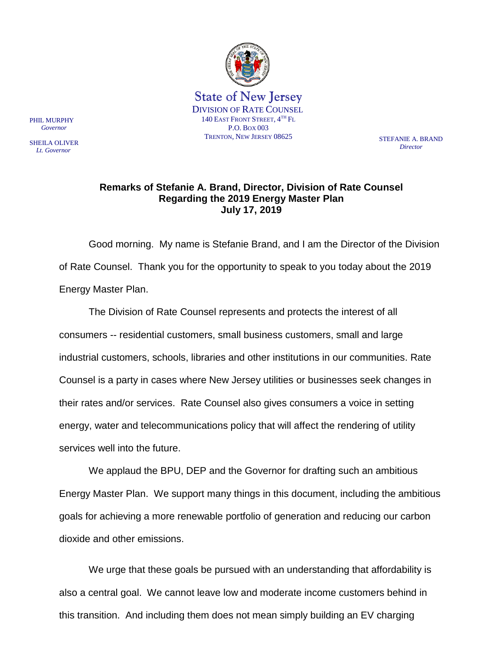

*Director*

## **Remarks of Stefanie A. Brand, Director, Division of Rate Counsel Regarding the 2019 Energy Master Plan July 17, 2019**

Good morning. My name is Stefanie Brand, and I am the Director of the Division of Rate Counsel. Thank you for the opportunity to speak to you today about the 2019 Energy Master Plan.

The Division of Rate Counsel represents and protects the interest of all consumers -- residential customers, small business customers, small and large industrial customers, schools, libraries and other institutions in our communities. Rate Counsel is a party in cases where New Jersey utilities or businesses seek changes in their rates and/or services. Rate Counsel also gives consumers a voice in setting energy, water and telecommunications policy that will affect the rendering of utility services well into the future.

We applaud the BPU, DEP and the Governor for drafting such an ambitious Energy Master Plan. We support many things in this document, including the ambitious goals for achieving a more renewable portfolio of generation and reducing our carbon dioxide and other emissions.

We urge that these goals be pursued with an understanding that affordability is also a central goal. We cannot leave low and moderate income customers behind in this transition. And including them does not mean simply building an EV charging

PHIL MURPHY  *Governor*

SHEILA OLIVER  *Lt. Governor*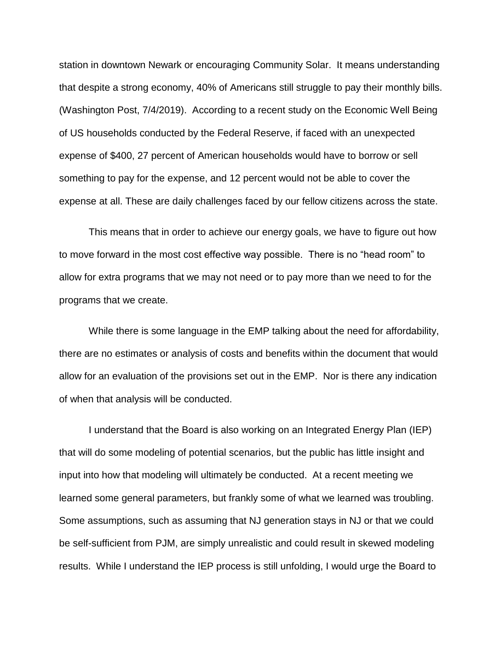station in downtown Newark or encouraging Community Solar. It means understanding that despite a strong economy, 40% of Americans still struggle to pay their monthly bills. (Washington Post, 7/4/2019). According to a recent study on the Economic Well Being of US households conducted by the Federal Reserve, if faced with an unexpected expense of \$400, 27 percent of American households would have to borrow or sell something to pay for the expense, and 12 percent would not be able to cover the expense at all. These are daily challenges faced by our fellow citizens across the state.

This means that in order to achieve our energy goals, we have to figure out how to move forward in the most cost effective way possible. There is no "head room" to allow for extra programs that we may not need or to pay more than we need to for the programs that we create.

While there is some language in the EMP talking about the need for affordability, there are no estimates or analysis of costs and benefits within the document that would allow for an evaluation of the provisions set out in the EMP. Nor is there any indication of when that analysis will be conducted.

I understand that the Board is also working on an Integrated Energy Plan (IEP) that will do some modeling of potential scenarios, but the public has little insight and input into how that modeling will ultimately be conducted. At a recent meeting we learned some general parameters, but frankly some of what we learned was troubling. Some assumptions, such as assuming that NJ generation stays in NJ or that we could be self-sufficient from PJM, are simply unrealistic and could result in skewed modeling results. While I understand the IEP process is still unfolding, I would urge the Board to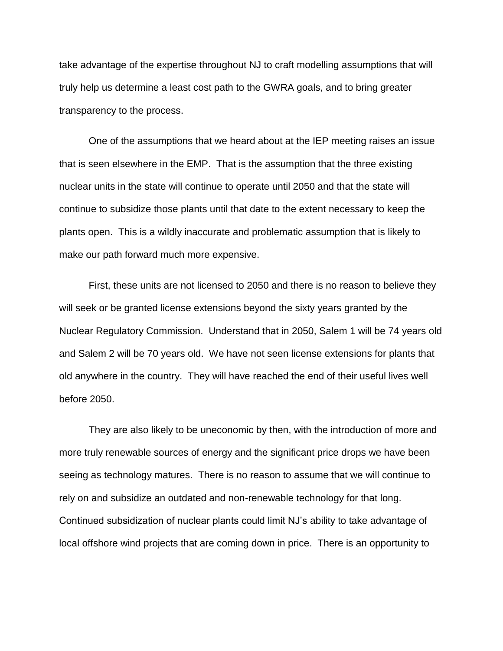take advantage of the expertise throughout NJ to craft modelling assumptions that will truly help us determine a least cost path to the GWRA goals, and to bring greater transparency to the process.

One of the assumptions that we heard about at the IEP meeting raises an issue that is seen elsewhere in the EMP. That is the assumption that the three existing nuclear units in the state will continue to operate until 2050 and that the state will continue to subsidize those plants until that date to the extent necessary to keep the plants open. This is a wildly inaccurate and problematic assumption that is likely to make our path forward much more expensive.

First, these units are not licensed to 2050 and there is no reason to believe they will seek or be granted license extensions beyond the sixty years granted by the Nuclear Regulatory Commission. Understand that in 2050, Salem 1 will be 74 years old and Salem 2 will be 70 years old. We have not seen license extensions for plants that old anywhere in the country. They will have reached the end of their useful lives well before 2050.

They are also likely to be uneconomic by then, with the introduction of more and more truly renewable sources of energy and the significant price drops we have been seeing as technology matures. There is no reason to assume that we will continue to rely on and subsidize an outdated and non-renewable technology for that long. Continued subsidization of nuclear plants could limit NJ's ability to take advantage of local offshore wind projects that are coming down in price. There is an opportunity to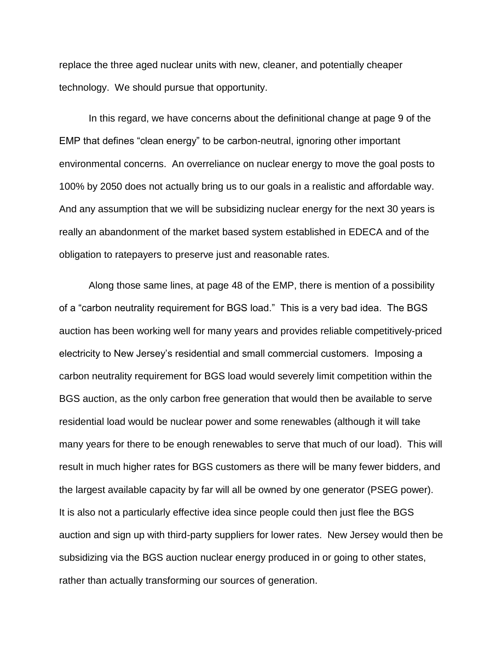replace the three aged nuclear units with new, cleaner, and potentially cheaper technology. We should pursue that opportunity.

In this regard, we have concerns about the definitional change at page 9 of the EMP that defines "clean energy" to be carbon-neutral, ignoring other important environmental concerns. An overreliance on nuclear energy to move the goal posts to 100% by 2050 does not actually bring us to our goals in a realistic and affordable way. And any assumption that we will be subsidizing nuclear energy for the next 30 years is really an abandonment of the market based system established in EDECA and of the obligation to ratepayers to preserve just and reasonable rates.

Along those same lines, at page 48 of the EMP, there is mention of a possibility of a "carbon neutrality requirement for BGS load." This is a very bad idea. The BGS auction has been working well for many years and provides reliable competitively-priced electricity to New Jersey's residential and small commercial customers. Imposing a carbon neutrality requirement for BGS load would severely limit competition within the BGS auction, as the only carbon free generation that would then be available to serve residential load would be nuclear power and some renewables (although it will take many years for there to be enough renewables to serve that much of our load). This will result in much higher rates for BGS customers as there will be many fewer bidders, and the largest available capacity by far will all be owned by one generator (PSEG power). It is also not a particularly effective idea since people could then just flee the BGS auction and sign up with third-party suppliers for lower rates. New Jersey would then be subsidizing via the BGS auction nuclear energy produced in or going to other states, rather than actually transforming our sources of generation.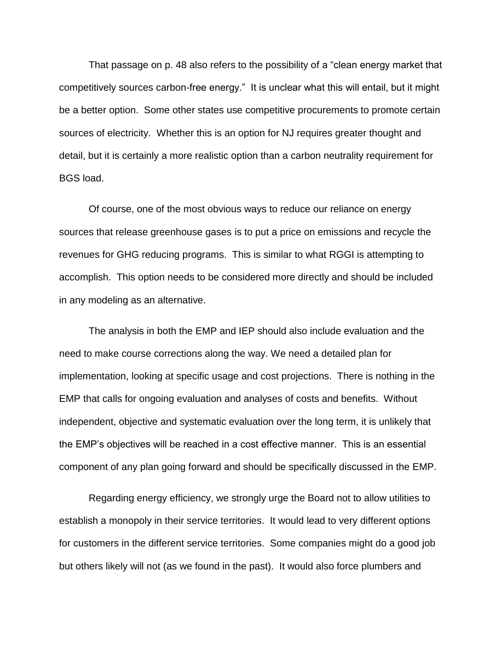That passage on p. 48 also refers to the possibility of a "clean energy market that competitively sources carbon-free energy." It is unclear what this will entail, but it might be a better option. Some other states use competitive procurements to promote certain sources of electricity. Whether this is an option for NJ requires greater thought and detail, but it is certainly a more realistic option than a carbon neutrality requirement for BGS load.

Of course, one of the most obvious ways to reduce our reliance on energy sources that release greenhouse gases is to put a price on emissions and recycle the revenues for GHG reducing programs. This is similar to what RGGI is attempting to accomplish. This option needs to be considered more directly and should be included in any modeling as an alternative.

The analysis in both the EMP and IEP should also include evaluation and the need to make course corrections along the way. We need a detailed plan for implementation, looking at specific usage and cost projections. There is nothing in the EMP that calls for ongoing evaluation and analyses of costs and benefits. Without independent, objective and systematic evaluation over the long term, it is unlikely that the EMP's objectives will be reached in a cost effective manner. This is an essential component of any plan going forward and should be specifically discussed in the EMP.

Regarding energy efficiency, we strongly urge the Board not to allow utilities to establish a monopoly in their service territories. It would lead to very different options for customers in the different service territories. Some companies might do a good job but others likely will not (as we found in the past). It would also force plumbers and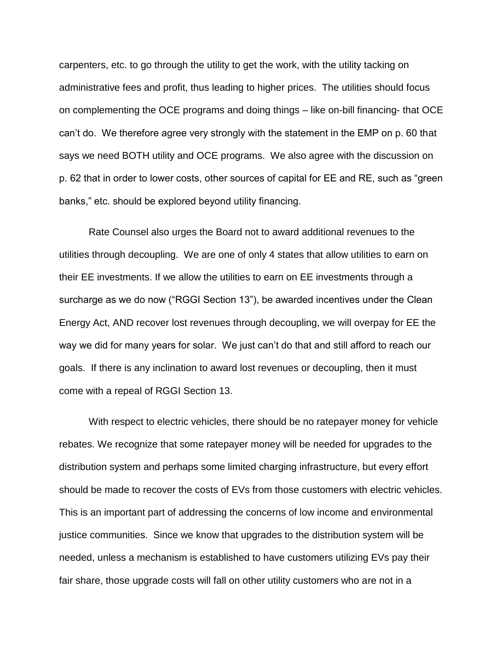carpenters, etc. to go through the utility to get the work, with the utility tacking on administrative fees and profit, thus leading to higher prices. The utilities should focus on complementing the OCE programs and doing things – like on-bill financing- that OCE can't do. We therefore agree very strongly with the statement in the EMP on p. 60 that says we need BOTH utility and OCE programs. We also agree with the discussion on p. 62 that in order to lower costs, other sources of capital for EE and RE, such as "green banks," etc. should be explored beyond utility financing.

Rate Counsel also urges the Board not to award additional revenues to the utilities through decoupling. We are one of only 4 states that allow utilities to earn on their EE investments. If we allow the utilities to earn on EE investments through a surcharge as we do now ("RGGI Section 13"), be awarded incentives under the Clean Energy Act, AND recover lost revenues through decoupling, we will overpay for EE the way we did for many years for solar. We just can't do that and still afford to reach our goals. If there is any inclination to award lost revenues or decoupling, then it must come with a repeal of RGGI Section 13.

With respect to electric vehicles, there should be no ratepayer money for vehicle rebates. We recognize that some ratepayer money will be needed for upgrades to the distribution system and perhaps some limited charging infrastructure, but every effort should be made to recover the costs of EVs from those customers with electric vehicles. This is an important part of addressing the concerns of low income and environmental justice communities. Since we know that upgrades to the distribution system will be needed, unless a mechanism is established to have customers utilizing EVs pay their fair share, those upgrade costs will fall on other utility customers who are not in a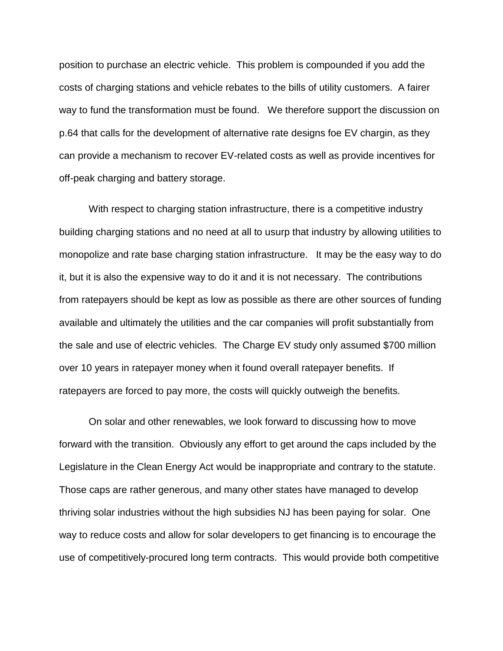position to purchase an electric vehicle. This problem is compounded if you add the costs of charging stations and vehicle rebates to the bills of utility customers. A fairer way to fund the transformation must be found. We therefore support the discussion on p.64 that calls for the development of alternative rate designs foe EV chargin, as they can provide a mechanism to recover EV-related costs as well as provide incentives for off-peak charging and battery storage.

With respect to charging station infrastructure, there is a competitive industry building charging stations and no need at all to usurp that industry by allowing utilities to monopolize and rate base charging station infrastructure. It may be the easy way to do it, but it is also the expensive way to do it and it is not necessary. The contributions from ratepayers should be kept as low as possible as there are other sources of funding available and ultimately the utilities and the car companies will profit substantially from the sale and use of electric vehicles. The Charge EV study only assumed \$700 million over 10 years in ratepayer money when it found overall ratepayer benefits. If ratepayers are forced to pay more, the costs will quickly outweigh the benefits.

On solar and other renewables, we look forward to discussing how to move forward with the transition. Obviously any effort to get around the caps included by the Legislature in the Clean Energy Act would be inappropriate and contrary to the statute. Those caps are rather generous, and many other states have managed to develop thriving solar industries without the high subsidies NJ has been paying for solar. One way to reduce costs and allow for solar developers to get financing is to encourage the use of competitively-procured long term contracts. This would provide both competitive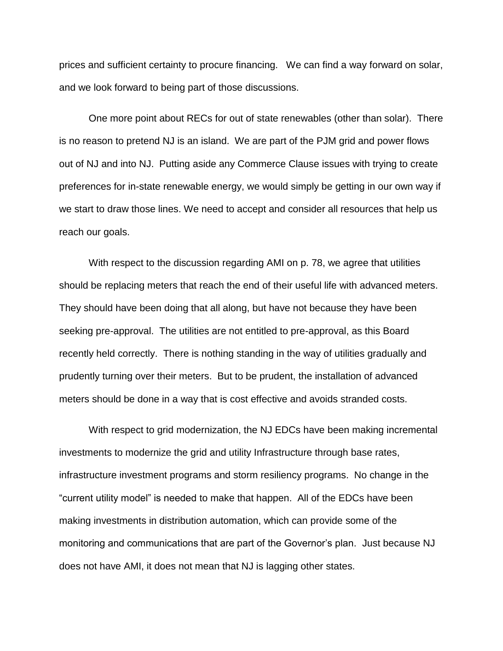prices and sufficient certainty to procure financing. We can find a way forward on solar, and we look forward to being part of those discussions.

One more point about RECs for out of state renewables (other than solar). There is no reason to pretend NJ is an island. We are part of the PJM grid and power flows out of NJ and into NJ. Putting aside any Commerce Clause issues with trying to create preferences for in-state renewable energy, we would simply be getting in our own way if we start to draw those lines. We need to accept and consider all resources that help us reach our goals.

With respect to the discussion regarding AMI on p. 78, we agree that utilities should be replacing meters that reach the end of their useful life with advanced meters. They should have been doing that all along, but have not because they have been seeking pre-approval. The utilities are not entitled to pre-approval, as this Board recently held correctly. There is nothing standing in the way of utilities gradually and prudently turning over their meters. But to be prudent, the installation of advanced meters should be done in a way that is cost effective and avoids stranded costs.

With respect to grid modernization, the NJ EDCs have been making incremental investments to modernize the grid and utility Infrastructure through base rates, infrastructure investment programs and storm resiliency programs. No change in the "current utility model" is needed to make that happen. All of the EDCs have been making investments in distribution automation, which can provide some of the monitoring and communications that are part of the Governor's plan. Just because NJ does not have AMI, it does not mean that NJ is lagging other states.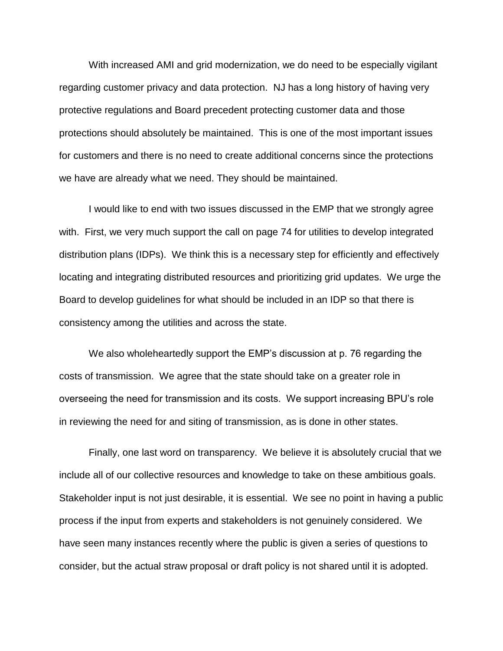With increased AMI and grid modernization, we do need to be especially vigilant regarding customer privacy and data protection. NJ has a long history of having very protective regulations and Board precedent protecting customer data and those protections should absolutely be maintained. This is one of the most important issues for customers and there is no need to create additional concerns since the protections we have are already what we need. They should be maintained.

I would like to end with two issues discussed in the EMP that we strongly agree with. First, we very much support the call on page 74 for utilities to develop integrated distribution plans (IDPs). We think this is a necessary step for efficiently and effectively locating and integrating distributed resources and prioritizing grid updates. We urge the Board to develop guidelines for what should be included in an IDP so that there is consistency among the utilities and across the state.

We also wholeheartedly support the EMP's discussion at p. 76 regarding the costs of transmission. We agree that the state should take on a greater role in overseeing the need for transmission and its costs. We support increasing BPU's role in reviewing the need for and siting of transmission, as is done in other states.

Finally, one last word on transparency. We believe it is absolutely crucial that we include all of our collective resources and knowledge to take on these ambitious goals. Stakeholder input is not just desirable, it is essential. We see no point in having a public process if the input from experts and stakeholders is not genuinely considered. We have seen many instances recently where the public is given a series of questions to consider, but the actual straw proposal or draft policy is not shared until it is adopted.